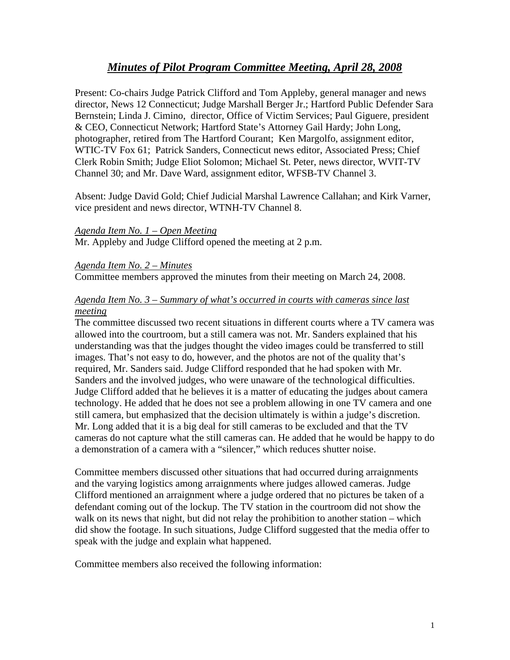# *Minutes of Pilot Program Committee Meeting, April 28, 2008*

Present: Co-chairs Judge Patrick Clifford and Tom Appleby, general manager and news director, News 12 Connecticut; Judge Marshall Berger Jr.; Hartford Public Defender Sara Bernstein; Linda J. Cimino, director, Office of Victim Services; Paul Giguere, president & CEO, Connecticut Network; Hartford State's Attorney Gail Hardy; John Long, photographer, retired from The Hartford Courant; Ken Margolfo, assignment editor, WTIC-TV Fox 61; Patrick Sanders, Connecticut news editor, Associated Press; Chief Clerk Robin Smith; Judge Eliot Solomon; Michael St. Peter, news director, WVIT-TV Channel 30; and Mr. Dave Ward, assignment editor, WFSB-TV Channel 3.

Absent: Judge David Gold; Chief Judicial Marshal Lawrence Callahan; and Kirk Varner, vice president and news director, WTNH-TV Channel 8.

#### *Agenda Item No. 1 – Open Meeting*

Mr. Appleby and Judge Clifford opened the meeting at 2 p.m.

*Agenda Item No. 2 – Minutes* 

Committee members approved the minutes from their meeting on March 24, 2008.

# *Agenda Item No. 3 – Summary of what's occurred in courts with cameras since last meeting*

The committee discussed two recent situations in different courts where a TV camera was allowed into the courtroom, but a still camera was not. Mr. Sanders explained that his understanding was that the judges thought the video images could be transferred to still images. That's not easy to do, however, and the photos are not of the quality that's required, Mr. Sanders said. Judge Clifford responded that he had spoken with Mr. Sanders and the involved judges, who were unaware of the technological difficulties. Judge Clifford added that he believes it is a matter of educating the judges about camera technology. He added that he does not see a problem allowing in one TV camera and one still camera, but emphasized that the decision ultimately is within a judge's discretion. Mr. Long added that it is a big deal for still cameras to be excluded and that the TV cameras do not capture what the still cameras can. He added that he would be happy to do a demonstration of a camera with a "silencer," which reduces shutter noise.

Committee members discussed other situations that had occurred during arraignments and the varying logistics among arraignments where judges allowed cameras. Judge Clifford mentioned an arraignment where a judge ordered that no pictures be taken of a defendant coming out of the lockup. The TV station in the courtroom did not show the walk on its news that night, but did not relay the prohibition to another station – which did show the footage. In such situations, Judge Clifford suggested that the media offer to speak with the judge and explain what happened.

Committee members also received the following information: